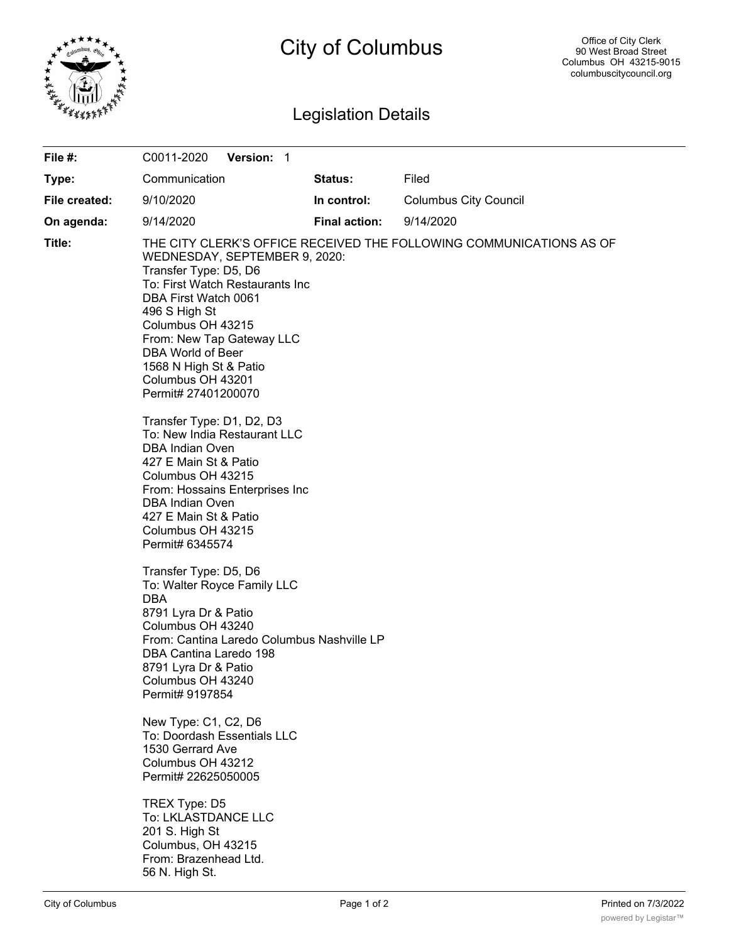

# City of Columbus

## Legislation Details

| File #:       | C0011-2020<br><b>Version: 1</b>                                                                                                                                                                                                                                                 |                      |                                                                     |
|---------------|---------------------------------------------------------------------------------------------------------------------------------------------------------------------------------------------------------------------------------------------------------------------------------|----------------------|---------------------------------------------------------------------|
| Type:         | Communication                                                                                                                                                                                                                                                                   | Status:              | Filed                                                               |
| File created: | 9/10/2020                                                                                                                                                                                                                                                                       | In control:          | <b>Columbus City Council</b>                                        |
| On agenda:    | 9/14/2020                                                                                                                                                                                                                                                                       | <b>Final action:</b> | 9/14/2020                                                           |
| Title:        | WEDNESDAY, SEPTEMBER 9, 2020:<br>Transfer Type: D5, D6<br>To: First Watch Restaurants Inc<br>DBA First Watch 0061<br>496 S High St<br>Columbus OH 43215<br>From: New Tap Gateway LLC<br>DBA World of Beer<br>1568 N High St & Patio<br>Columbus OH 43201<br>Permit# 27401200070 |                      | THE CITY CLERK'S OFFICE RECEIVED THE FOLLOWING COMMUNICATIONS AS OF |
|               | Transfer Type: D1, D2, D3<br>To: New India Restaurant LLC<br><b>DBA Indian Oven</b><br>427 E Main St & Patio<br>Columbus OH 43215<br>From: Hossains Enterprises Inc<br><b>DBA Indian Oven</b><br>427 E Main St & Patio<br>Columbus OH 43215<br>Permit# 6345574                  |                      |                                                                     |
|               | Transfer Type: D5, D6<br>To: Walter Royce Family LLC<br><b>DBA</b><br>8791 Lyra Dr & Patio<br>Columbus OH 43240<br>From: Cantina Laredo Columbus Nashville LP<br>DBA Cantina Laredo 198<br>8791 Lyra Dr & Patio<br>Columbus OH 43240<br>Permit# 9197854                         |                      |                                                                     |
|               | New Type: C1, C2, D6<br>To: Doordash Essentials LLC<br>1530 Gerrard Ave<br>Columbus OH 43212<br>Permit# 22625050005                                                                                                                                                             |                      |                                                                     |
|               | TREX Type: D5<br>To: LKLASTDANCE LLC<br>201 S. High St<br>Columbus, OH 43215<br>From: Brazenhead Ltd.<br>56 N. High St.                                                                                                                                                         |                      |                                                                     |